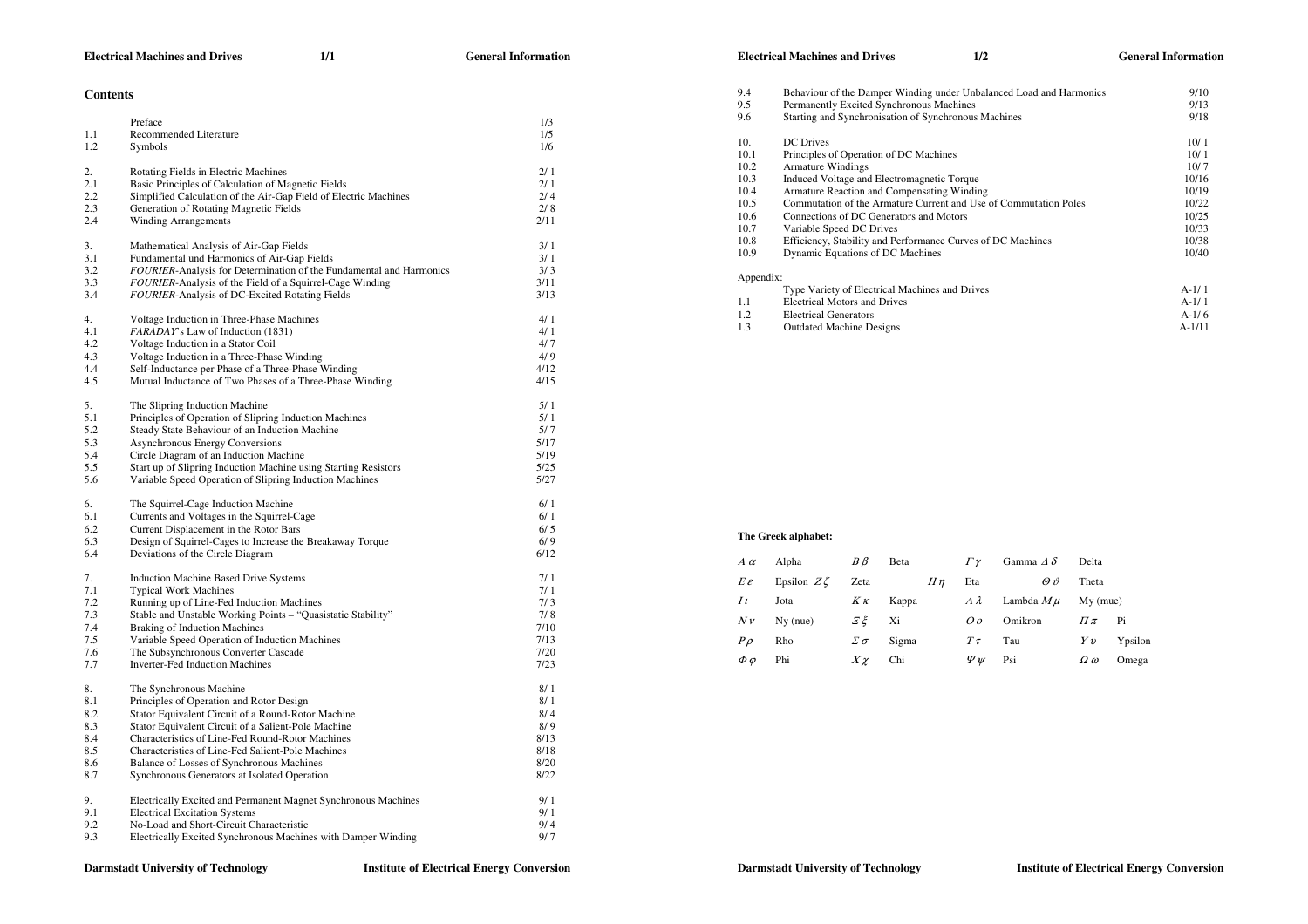## **Contents**

|     | Preface                                                             | 1/3  |
|-----|---------------------------------------------------------------------|------|
| 1.1 | Recommended Literature                                              | 1/5  |
| 1.2 | Symbols                                                             | 1/6  |
|     |                                                                     |      |
| 2.  | Rotating Fields in Electric Machines                                | 2/1  |
| 2.1 | Basic Principles of Calculation of Magnetic Fields                  | 2/1  |
| 2.2 | Simplified Calculation of the Air-Gap Field of Electric Machines    | 2/4  |
| 2.3 | Generation of Rotating Magnetic Fields                              | 2/8  |
| 2.4 | <b>Winding Arrangements</b>                                         | 2/11 |
|     |                                                                     |      |
| 3.  | Mathematical Analysis of Air-Gap Fields                             | 3/1  |
| 3.1 | Fundamental und Harmonics of Air-Gap Fields                         | 3/1  |
| 3.2 | FOURIER-Analysis for Determination of the Fundamental and Harmonics | 3/3  |
| 3.3 | FOURIER-Analysis of the Field of a Squirrel-Cage Winding            | 3/11 |
| 3.4 | FOURIER-Analysis of DC-Excited Rotating Fields                      | 3/13 |
|     |                                                                     |      |
| 4.  | Voltage Induction in Three-Phase Machines                           | 4/1  |
| 4.1 | FARADAY's Law of Induction (1831)                                   | 4/1  |
| 4.2 | Voltage Induction in a Stator Coil                                  | 4/7  |
| 4.3 | Voltage Induction in a Three-Phase Winding                          | 4/9  |
| 4.4 | Self-Inductance per Phase of a Three-Phase Winding                  | 4/12 |
|     |                                                                     |      |
| 4.5 | Mutual Inductance of Two Phases of a Three-Phase Winding            | 4/15 |
| 5.  | The Slipring Induction Machine                                      | 5/1  |
| 5.1 | Principles of Operation of Slipring Induction Machines              | 5/1  |
|     |                                                                     |      |
| 5.2 | Steady State Behaviour of an Induction Machine                      | 5/7  |
| 5.3 | <b>Asynchronous Energy Conversions</b>                              | 5/17 |
| 5.4 | Circle Diagram of an Induction Machine                              | 5/19 |
| 5.5 | Start up of Slipring Induction Machine using Starting Resistors     | 5/25 |
| 5.6 | Variable Speed Operation of Slipring Induction Machines             | 5/27 |
|     |                                                                     | 6/1  |
| 6.  | The Squirrel-Cage Induction Machine                                 |      |
| 6.1 | Currents and Voltages in the Squirrel-Cage                          | 6/1  |
| 6.2 | Current Displacement in the Rotor Bars                              | 6/5  |
| 6.3 | Design of Squirrel-Cages to Increase the Breakaway Torque           | 6/9  |
| 6.4 | Deviations of the Circle Diagram                                    | 6/12 |
| 7.  | <b>Induction Machine Based Drive Systems</b>                        | 7/1  |
| 7.1 |                                                                     | 7/1  |
|     | <b>Typical Work Machines</b>                                        | 7/3  |
| 7.2 | Running up of Line-Fed Induction Machines                           |      |
| 7.3 | Stable and Unstable Working Points - "Quasistatic Stability"        | 7/8  |
| 7.4 | <b>Braking of Induction Machines</b>                                | 7/10 |
| 7.5 | Variable Speed Operation of Induction Machines                      | 7/13 |
| 7.6 | The Subsynchronous Converter Cascade                                | 7/20 |
| 7.7 | <b>Inverter-Fed Induction Machines</b>                              | 7/23 |
|     |                                                                     |      |
| 8.  | The Synchronous Machine                                             | 8/1  |
| 8.1 | Principles of Operation and Rotor Design                            | 8/1  |
| 8.2 | Stator Equivalent Circuit of a Round-Rotor Machine                  | 8/4  |
| 8.3 | Stator Equivalent Circuit of a Salient-Pole Machine                 | 8/9  |
| 8.4 | Characteristics of Line-Fed Round-Rotor Machines                    | 8/13 |
| 8.5 | Characteristics of Line-Fed Salient-Pole Machines                   | 8/18 |
| 8.6 | Balance of Losses of Synchronous Machines                           | 8/20 |
| 8.7 | Synchronous Generators at Isolated Operation                        | 8/22 |
|     |                                                                     |      |
| 9.  | Electrically Excited and Permanent Magnet Synchronous Machines      | 9/1  |
| 9.1 | <b>Electrical Excitation Systems</b>                                | 9/1  |
| 9.2 | No-Load and Short-Circuit Characteristic                            | 9/4  |
| 9.3 | Electrically Excited Synchronous Machines with Damper Winding       | 9/7  |
|     |                                                                     |      |

# **Electrical Machines and Drives 1/2 General Information**

| 9/13<br>9/18<br>10/1<br>10/1<br>10/7<br>10/16 |
|-----------------------------------------------|
|                                               |
|                                               |
|                                               |
|                                               |
|                                               |
|                                               |
| 10/19                                         |
| 10/22                                         |
| 10/25                                         |
|                                               |
| 10/33                                         |
| 10/38                                         |
| 10/40                                         |
|                                               |
| $A-1/1$                                       |
| $A-1/1$                                       |
| $A-1/6$                                       |
| $A-1/11$                                      |
|                                               |

# **The Greek alphabet:**

|                | $A\alpha$        | Alpha            | $B\beta$  | Beta  |         | $\Gamma \gamma$  | Gamma $\Delta \delta$ | Delta             |         |
|----------------|------------------|------------------|-----------|-------|---------|------------------|-----------------------|-------------------|---------|
|                | $E\varepsilon$   | Epsilon $Z\zeta$ | Zeta      |       | $H\eta$ | Eta              | $\theta \vartheta$    | Theta             |         |
| I <sub>t</sub> |                  | Jota             | $K\kappa$ | Kappa |         | $\lambda\lambda$ | Lambda $M\mu$         | $My$ (mue)        |         |
|                | Nv               | $Nv$ (nue)       | $E\xi$ Xi |       |         | O o              | Omikron               | $\Pi\pi$          | Pi      |
|                | $P\rho$          | Rho              | Σσ        | Sigma |         | $T\tau$          | Tau                   | Yv                | Ypsilon |
|                | $\phi$ $\varphi$ | Phi              | $X\chi$   | Chi   |         | $\Psi \nu$       | Psi                   | $\Omega$ $\omega$ | Omega   |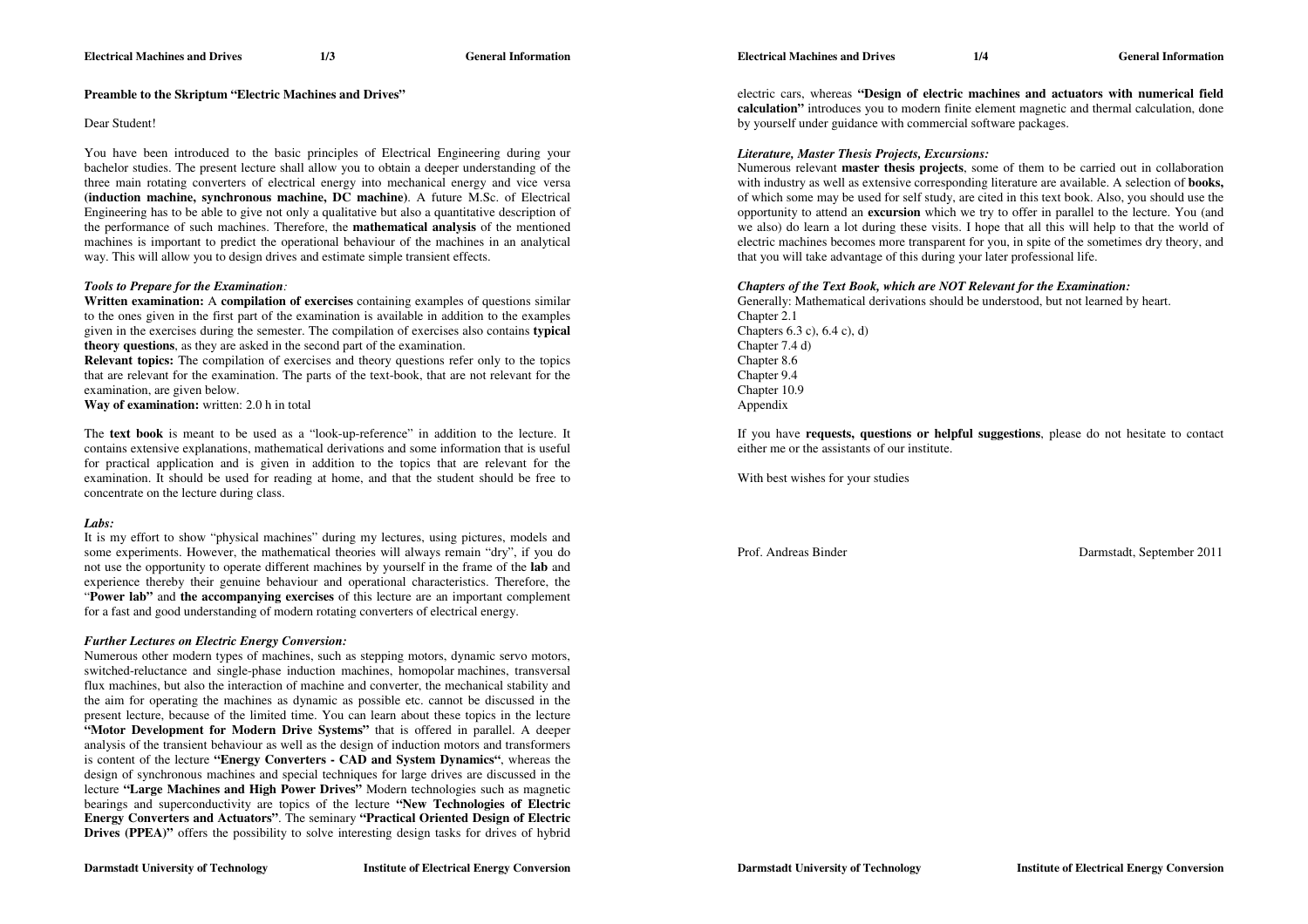#### **Electrical Machines and Drives 1/4 General Information**

## **Preamble to the Skriptum "Electric Machines and Drives"**

## Dear Student!

You have been introduced to the basic principles of Electrical Engineering during your bachelor studies. The present lecture shall allow you to obtain a deeper understanding of the three main rotating converters of electrical energy into mechanical energy and vice versa **(induction machine, synchronous machine, DC machine)**. A future M.Sc. of Electrical Engineering has to be able to give not only a qualitative but also a quantitative description of the performance of such machines. Therefore, the **mathematical analysis** of the mentioned machines is important to predict the operational behaviour of the machines in an analytical way. This will allow you to design drives and estimate simple transient effects.

## *Tools to Prepare for the Examination:*

**Written examination:** A **compilation of exercises** containing examples of questions similar to the ones given in the first part of the examination is available in addition to the examples given in the exercises during the semester. The compilation of exercises also contains **typical theory questions**, as they are asked in the second part of the examination.

**Relevant topics:** The compilation of exercises and theory questions refer only to the topics that are relevant for the examination. The parts of the text-book, that are not relevant for the examination, are given below.

**Way of examination:** written: 2.0 h in total

The **text book** is meant to be used as a "look-up-reference" in addition to the lecture. It contains extensive explanations, mathematical derivations and some information that is useful for practical application and is given in addition to the topics that are relevant for the examination. It should be used for reading at home, and that the student should be free to concentrate on the lecture during class.

# *Labs:*

It is my effort to show "physical machines" during my lectures, using pictures, models and some experiments. However, the mathematical theories will always remain "dry", if you do not use the opportunity to operate different machines by yourself in the frame of the **lab** and experience thereby their genuine behaviour and operational characteristics. Therefore, the "**Power lab"** and **the accompanying exercises** of this lecture are an important complement for a fast and good understanding of modern rotating converters of electrical energy.

# *Further Lectures on Electric Energy Conversion:*

Numerous other modern types of machines, such as stepping motors, dynamic servo motors, switched-reluctance and single-phase induction machines, homopolar machines, transversal flux machines, but also the interaction of machine and converter, the mechanical stability and the aim for operating the machines as dynamic as possible etc. cannot be discussed in the present lecture, because of the limited time. You can learn about these topics in the lecture **"Motor Development for Modern Drive Systems"** that is offered in parallel. A deeper analysis of the transient behaviour as well as the design of induction motors and transformers is content of the lecture **"Energy Converters - CAD and System Dynamics"**, whereas the design of synchronous machines and special techniques for large drives are discussed in the lecture **"Large Machines and High Power Drives"** Modern technologies such as magnetic bearings and superconductivity are topics of the lecture **"New Technologies of Electric Energy Converters and Actuators"**. The seminary **"Practical Oriented Design of Electric Drives (PPEA)<sup>"</sup>** offers the possibility to solve interesting design tasks for drives of hybrid

electric cars, whereas **"Design of electric machines and actuators with numerical field calculation"** introduces you to modern finite element magnetic and thermal calculation, done by yourself under guidance with commercial software packages.

# *Literature, Master Thesis Projects, Excursions:*

Numerous relevant **master thesis projects**, some of them to be carried out in collaboration with industry as well as extensive corresponding literature are available. A selection of **books,** of which some may be used for self study, are cited in this text book. Also, you should use the opportunity to attend an **excursion** which we try to offer in parallel to the lecture. You (and we also) do learn a lot during these visits. I hope that all this will help to that the world of electric machines becomes more transparent for you, in spite of the sometimes dry theory, and that you will take advantage of this during your later professional life.

#### *Chapters of the Text Book, which are NOT Relevant for the Examination:*

Generally: Mathematical derivations should be understood, but not learned by heart. Chapter 2.1 Chapters 6.3 c), 6.4 c), d) Chapter 7.4 d) Chapter 8.6 Chapter 9.4 Chapter 10.9 Appendix

If you have **requests, questions or helpful suggestions**, please do not hesitate to contact either me or the assistants of our institute.

With best wishes for your studies

Prof. Andreas Binder **Darmstadt**, September 2011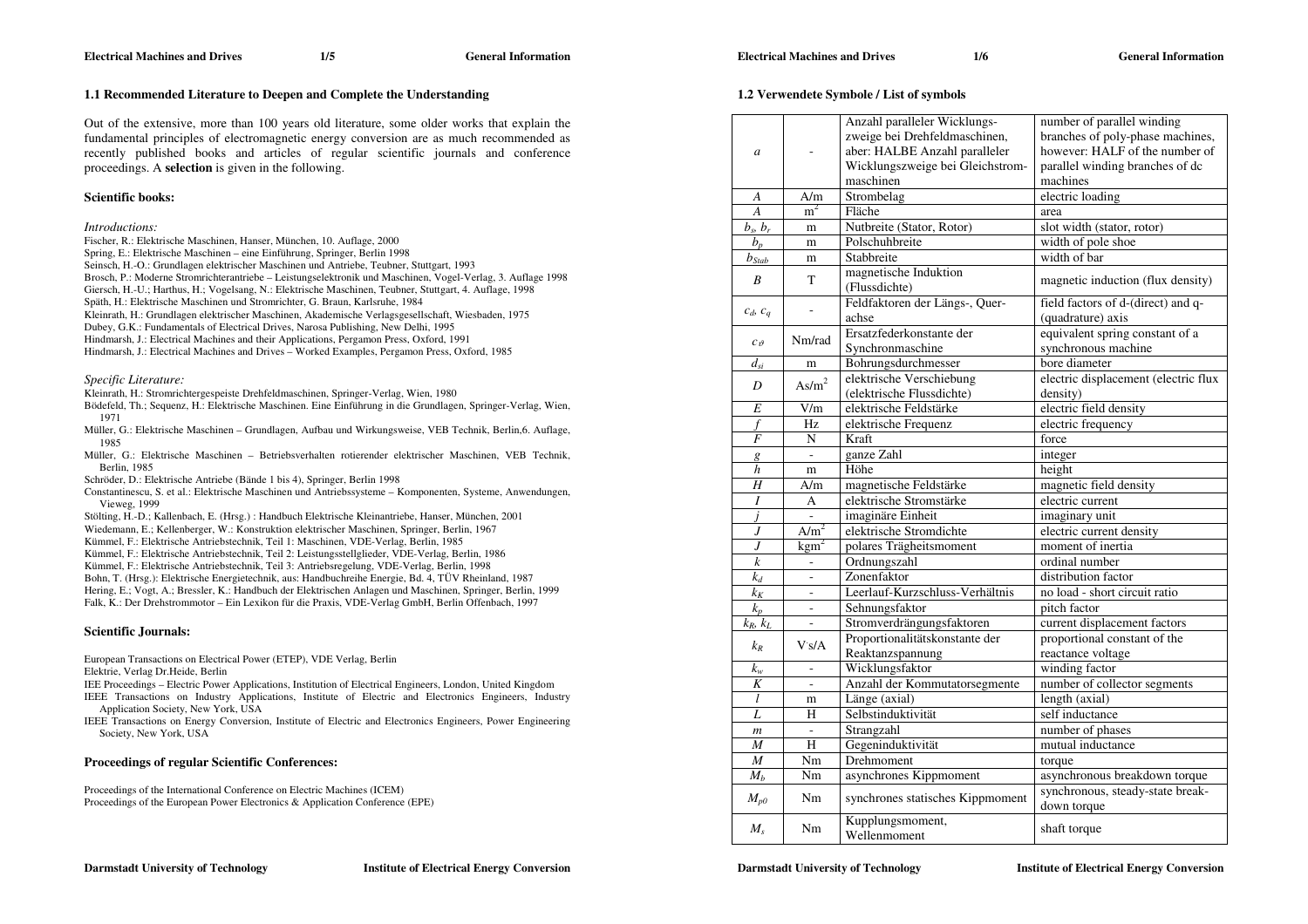# **1.2 Verwendete Symbole / List of symbols**

|                  |                   | 1.2 Verwendete Symbole / List of symbols                                                                                                        |                                                                                                                                                 |
|------------------|-------------------|-------------------------------------------------------------------------------------------------------------------------------------------------|-------------------------------------------------------------------------------------------------------------------------------------------------|
| a                |                   | Anzahl paralleler Wicklungs-<br>zweige bei Drehfeldmaschinen,<br>aber: HALBE Anzahl paralleler<br>Wicklungszweige bei Gleichstrom-<br>maschinen | number of parallel winding<br>branches of poly-phase machines,<br>however: HALF of the number of<br>parallel winding branches of dc<br>machines |
| A                | A/m               | Strombelag                                                                                                                                      | electric loading                                                                                                                                |
| A                | m <sup>2</sup>    | Fläche                                                                                                                                          | area                                                                                                                                            |
| $b_s$ , $b_r$    | m                 | Nutbreite (Stator, Rotor)                                                                                                                       | slot width (stator, rotor)                                                                                                                      |
| $b_p$            | m                 | Polschuhbreite                                                                                                                                  | width of pole shoe                                                                                                                              |
| $b_{Stab}$       | m                 | Stabbreite                                                                                                                                      | width of bar                                                                                                                                    |
| $\boldsymbol{B}$ | T                 | magnetische Induktion<br>(Flussdichte)                                                                                                          | magnetic induction (flux density)                                                                                                               |
| $c_d$ , $c_q$    |                   | Feldfaktoren der Längs-, Quer-<br>achse                                                                                                         | field factors of d-(direct) and q-<br>(quadrature) axis                                                                                         |
| $c_{\vartheta}$  | Nm/rad            | Ersatzfederkonstante der<br>Synchronmaschine                                                                                                    | equivalent spring constant of a<br>synchronous machine                                                                                          |
| $d_{si}$         | m                 | Bohrungsdurchmesser                                                                                                                             | bore diameter                                                                                                                                   |
| D                | $\mathrm{As/m}^2$ | elektrische Verschiebung<br>(elektrische Flussdichte)                                                                                           | electric displacement (electric flux<br>density)                                                                                                |
| E                | V/m               | elektrische Feldstärke                                                                                                                          | electric field density                                                                                                                          |
| f                | Hz                | elektrische Frequenz                                                                                                                            | electric frequency                                                                                                                              |
| F                | N                 | Kraft                                                                                                                                           | force                                                                                                                                           |
| g                | $\Box$            | ganze Zahl                                                                                                                                      | integer                                                                                                                                         |
| h                | m                 | Höhe                                                                                                                                            | height                                                                                                                                          |
| H                | A/m               | magnetische Feldstärke                                                                                                                          | magnetic field density                                                                                                                          |
| I                | A                 | elektrische Stromstärke                                                                                                                         | electric current                                                                                                                                |
| j                | L,                | imaginäre Einheit                                                                                                                               | imaginary unit                                                                                                                                  |
| J                | A/m <sup>2</sup>  | elektrische Stromdichte                                                                                                                         | electric current density                                                                                                                        |
| J                | $\text{kgm}^2$    | polares Trägheitsmoment                                                                                                                         | moment of inertia                                                                                                                               |
| $\boldsymbol{k}$ | ÷,                | Ordnungszahl                                                                                                                                    | ordinal number                                                                                                                                  |
| $k_d$            | ä,                | Zonenfaktor                                                                                                                                     | distribution factor                                                                                                                             |
| $k_K$            | ÷,                | Leerlauf-Kurzschluss-Verhältnis                                                                                                                 | no load - short circuit ratio                                                                                                                   |
| $k_p$            | ÷,                | Sehnungsfaktor                                                                                                                                  | pitch factor                                                                                                                                    |
| $k_R$ , $k_L$    | ÷,                | Stromverdrängungsfaktoren                                                                                                                       | current displacement factors                                                                                                                    |
| $k_R$            | Vs/A              | Proportionalitätskonstante der<br>Reaktanzspannung                                                                                              | proportional constant of the<br>reactance voltage                                                                                               |
| $k_{w}$          | L,                | Wicklungsfaktor                                                                                                                                 | winding factor                                                                                                                                  |
| K                | ÷,                | Anzahl der Kommutatorsegmente                                                                                                                   | number of collector segments                                                                                                                    |
| l                | m                 | Länge (axial)                                                                                                                                   | length (axial)                                                                                                                                  |
| L                | H                 | Selbstinduktivität                                                                                                                              | self inductance                                                                                                                                 |
| $\boldsymbol{m}$ | ÷,                | Strangzahl                                                                                                                                      | number of phases                                                                                                                                |
| $\boldsymbol{M}$ | H                 | Gegeninduktivität                                                                                                                               | mutual inductance                                                                                                                               |
| $\boldsymbol{M}$ | Nm                | Drehmoment                                                                                                                                      | torque                                                                                                                                          |
| $M_h$            | Nm                | asynchrones Kippmoment                                                                                                                          | asynchronous breakdown torque                                                                                                                   |

Out of the extensive, more than 100 years old literature, some older works that explain the

**1.1 Recommended Literature to Deepen and Complete the Understanding** 

fundamental principles of electromagnetic energy conversion are as much recommended as recently published books and articles of regular scientific journals and conference proceedings. A **selection** is given in the following.

# **Scientific books:**

#### *Introductions:*

- Fischer, R.: Elektrische Maschinen, Hanser, München, 10. Auflage, 2000
- Spring, E.: Elektrische Maschinen eine Einführung, Springer, Berlin 1998
- Seinsch, H.-O.: Grundlagen elektrischer Maschinen und Antriebe, Teubner, Stuttgart, 1993
- Brosch, P.: Moderne Stromrichterantriebe Leistungselektronik und Maschinen, Vogel-Verlag, 3. Auflage 1998
- Giersch, H.-U.; Harthus, H.; Vogelsang, N.: Elektrische Maschinen, Teubner, Stuttgart, 4. Auflage, 1998
- Späth, H.: Elektrische Maschinen und Stromrichter, G. Braun, Karlsruhe, 1984
- Kleinrath, H.: Grundlagen elektrischer Maschinen, Akademische Verlagsgesellschaft, Wiesbaden, 1975
- Dubey, G.K.: Fundamentals of Electrical Drives, Narosa Publishing, New Delhi, 1995
- Hindmarsh, J.: Electrical Machines and their Applications, Pergamon Press, Oxford, 1991
- Hindmarsh, J.: Electrical Machines and Drives Worked Examples, Pergamon Press, Oxford, 1985

#### *Specific Literature:*

- Kleinrath, H.: Stromrichtergespeiste Drehfeldmaschinen, Springer-Verlag, Wien, 1980
- Bödefeld, Th.; Sequenz, H.: Elektrische Maschinen. Eine Einführung in die Grundlagen, Springer-Verlag, Wien, 1971
- Müller, G.: Elektrische Maschinen Grundlagen, Aufbau und Wirkungsweise, VEB Technik, Berlin,6. Auflage, 1985
- Müller, G.: Elektrische Maschinen Betriebsverhalten rotierender elektrischer Maschinen, VEB Technik, Berlin, 1985
- Schröder, D.: Elektrische Antriebe (Bände 1 bis 4), Springer, Berlin 1998
- Constantinescu, S. et al.: Elektrische Maschinen und Antriebssysteme Komponenten, Systeme, Anwendungen, Vieweg, 1999
- Stölting, H.-D.; Kallenbach, E. (Hrsg.) : Handbuch Elektrische Kleinantriebe, Hanser, München, 2001
- Wiedemann, E.; Kellenberger, W.: Konstruktion elektrischer Maschinen, Springer, Berlin, 1967
- Kümmel, F.: Elektrische Antriebstechnik, Teil 1: Maschinen, VDE-Verlag, Berlin, 1985
- Kümmel, F.: Elektrische Antriebstechnik, Teil 2: Leistungsstellglieder, VDE-Verlag, Berlin, 1986
- Kümmel, F.: Elektrische Antriebstechnik, Teil 3: Antriebsregelung, VDE-Verlag, Berlin, 1998
- Bohn, T. (Hrsg.): Elektrische Energietechnik, aus: Handbuchreihe Energie, Bd. 4, TÜV Rheinland, 1987
- Hering, E.; Vogt, A.; Bressler, K.: Handbuch der Elektrischen Anlagen und Maschinen, Springer, Berlin, 1999
- Falk, K.: Der Drehstrommotor Ein Lexikon für die Praxis, VDE-Verlag GmbH, Berlin Offenbach, 1997

#### **Scientific Journals:**

- European Transactions on Electrical Power (ETEP), VDE Verlag, Berlin
- Elektrie, Verlag Dr.Heide, Berlin
- IEE Proceedings Electric Power Applications, Institution of Electrical Engineers, London, United Kingdom IEEE Transactions on Industry Applications, Institute of Electric and Electronics Engineers, Industry
- Application Society, New York, USA IEEE Transactions on Energy Conversion, Institute of Electric and Electronics Engineers, Power Engineering Society, New York, USA

#### **Proceedings of regular Scientific Conferences:**

Proceedings of the International Conference on Electric Machines (ICEM) Proceedings of the European Power Electronics & Application Conference (EPE)

 $M_{p0}$  Nm synchrones statisches Kippmoment synchronous, steady-state break-

 $M_s$  Nm Kupplungsmoment, shaft torque shaft torque

**Darmstadt University of Technology Institute of Electrical Energy Conversion**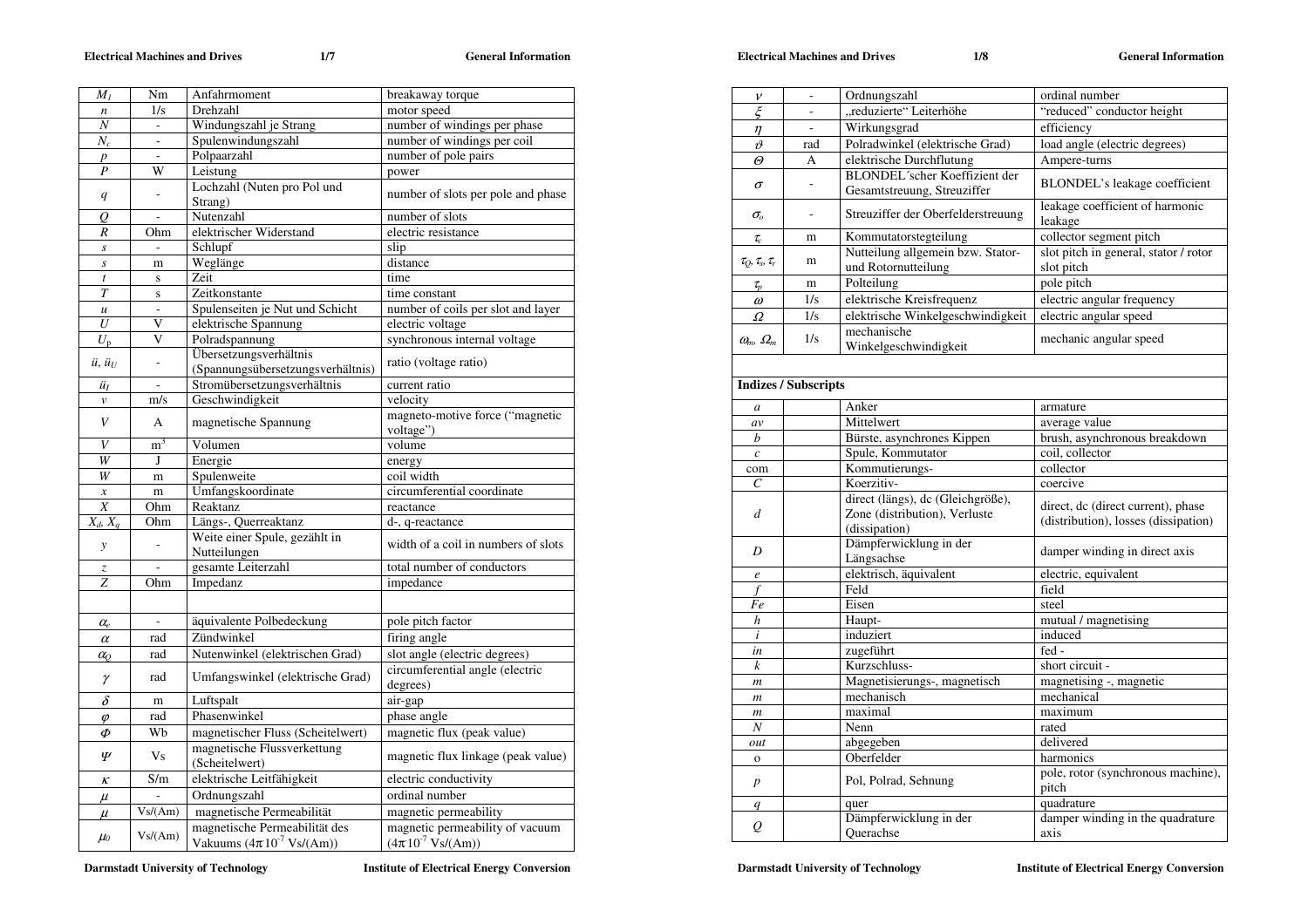## **Electrical Machines and Drives 1/7 General Information**

Electrical Machines and Drives 1/8 General Information

| $M_I$                           | Nm                       | Anfahrmoment                                  | breakaway torque                             |
|---------------------------------|--------------------------|-----------------------------------------------|----------------------------------------------|
| $\boldsymbol{n}$                | 1/s                      | Drehzahl                                      | motor speed                                  |
| Ν                               | $\blacksquare$           | Windungszahl je Strang                        | number of windings per phase                 |
| $N_c$                           |                          | Spulenwindungszahl                            | number of windings per coil                  |
| $\overline{p}$                  |                          | Polpaarzahl                                   | number of pole pairs                         |
| $\boldsymbol{P}$                | W                        | Leistung                                      | power                                        |
| q                               |                          | Lochzahl (Nuten pro Pol und<br>Strang)        | number of slots per pole and phase           |
| Q                               |                          | Nutenzahl                                     | number of slots                              |
| R                               | Ohm                      | elektrischer Widerstand                       | electric resistance                          |
| $\boldsymbol{S}$                |                          | Schlupf                                       | slip                                         |
| $\boldsymbol{S}$                | m                        | Weglänge                                      | distance                                     |
| $\boldsymbol{t}$                | S                        | Zeit                                          | time                                         |
| $\overline{T}$                  | $\mathbf S$              | Zeitkonstante                                 | time constant                                |
| $\boldsymbol{\mathcal{U}}$      | $\bar{\phantom{a}}$      | Spulenseiten je Nut und Schicht               | number of coils per slot and layer           |
| $\overline{U}$                  | V                        | elektrische Spannung                          | electric voltage                             |
| $U_{\rm p}$                     | V                        | Polradspannung                                | synchronous internal voltage                 |
|                                 |                          | Übersetzungsverhältnis                        |                                              |
| $\ddot{u}, \ddot{u}_U$          |                          | (Spannungsübersetzungsverhältnis)             | ratio (voltage ratio)                        |
| üı                              |                          | Stromübersetzungsverhältnis                   | current ratio                                |
| $\boldsymbol{\mathcal{V}}$      | m/s                      | Geschwindigkeit                               | velocity                                     |
| V                               | A                        | magnetische Spannung                          | magneto-motive force ("magnetic<br>voltage") |
| V                               | $\overline{m}^3$         | Volumen                                       | volume                                       |
| W                               | J                        | Energie                                       | energy                                       |
| W                               | m                        | Spulenweite                                   | coil width                                   |
| $\boldsymbol{\mathcal{X}}$      | m                        | Umfangskoordinate                             | circumferential coordinate                   |
| $\boldsymbol{X}$                | Ohm                      | Reaktanz                                      | reactance                                    |
| $X_d$ , $X_a$                   | Ohm                      | Längs-, Querreaktanz                          | d-, q-reactance                              |
| $\mathcal{Y}$                   |                          | Weite einer Spule, gezählt in<br>Nutteilungen | width of a coil in numbers of slots          |
| $\ensuremath{\mathnormal{Z}}$   |                          | gesamte Leiterzahl                            | total number of conductors                   |
| Z                               | Ohm                      | Impedanz                                      | impedance                                    |
|                                 |                          |                                               |                                              |
|                                 |                          |                                               |                                              |
| $\alpha_e$                      | $\overline{\phantom{a}}$ | äquivalente Polbedeckung                      | pole pitch factor                            |
| $\alpha$                        | rad                      | Zündwinkel                                    | firing angle                                 |
| $\alpha_{\scriptscriptstyle O}$ | rad                      | Nutenwinkel (elektrischen Grad)               | slot angle (electric degrees)                |
| γ                               | rad                      | Umfangswinkel (elektrische Grad)              | circumferential angle (electric<br>degrees)  |
| δ                               | m                        | Luftspalt                                     | air-gap                                      |
| $\varphi$                       | rad                      | Phasenwinkel                                  | phase angle                                  |
| Φ                               | Wb                       | magnetischer Fluss (Scheitelwert)             | magnetic flux (peak value)                   |
| Ψ                               | Vs                       | magnetische Flussverkettung<br>(Scheitelwert) | magnetic flux linkage (peak value)           |
| ĸ                               | S/m                      | elektrische Leitfähigkeit                     | electric conductivity                        |
| $\mu$                           |                          | Ordnungszahl                                  | ordinal number                               |
| $\mu$                           | Vs/(Am)                  | magnetische Permeabilität                     | magnetic permeability                        |
|                                 |                          | magnetische Permeabilität des                 | magnetic permeability of vacuum              |
| $\mu_0$                         | Vs/(Am)                  | Vakuums $(4\pi 10^{-7} \text{ Vs/(Am)})$      | $(4\pi 10^{-7} \text{ Vs/(Am)})$             |

**Darmstadt University of Technology Material Energy Conversion Institute of Electrical Energy Conversion** 

| $\xi$<br>"reduzierte" Leiterhöhe<br>"reduced" conductor height<br>$\overline{\phantom{a}}$<br>Wirkungsgrad<br>efficiency<br>$\sim$<br>$\eta$<br>Polradwinkel (elektrische Grad)<br>load angle (electric degrees)<br>$\vartheta$<br>rad<br>elektrische Durchflutung<br>Ampere-turns<br>$\varTheta$<br>А<br>BLONDEL'scher Koeffizient der<br>BLONDEL's leakage coefficient<br>$\sigma$<br>ä,<br>Gesamtstreuung, Streuziffer<br>leakage coefficient of harmonic<br>Streuziffer der Oberfelderstreuung<br>$\sigma_{\!o}$<br>÷,<br>leakage<br>collector segment pitch<br>Kommutatorstegteilung<br>$\tau_c$<br>m<br>Nutteilung allgemein bzw. Stator-<br>slot pitch in general, stator / rotor<br>$\tau_Q$ , $\tau_s$ , $\tau_r$<br>m<br>und Rotornutteilung<br>slot pitch<br>Polteilung<br>pole pitch<br>m<br>$\tau_{p}$<br>electric angular frequency<br>1/s<br>elektrische Kreisfrequenz<br>$\omega$<br>elektrische Winkelgeschwindigkeit<br>electric angular speed<br>1/s<br>Ω<br>mechanische<br>1/s<br>mechanic angular speed<br>$\omega_m$ , $\Omega_m$<br>Winkelgeschwindigkeit<br><b>Indizes / Subscripts</b><br>Anker<br>armature<br>a<br>Mittelwert<br>average value<br>av<br>Bürste, asynchrones Kippen<br>brush, asynchronous breakdown<br>b<br>Spule, Kommutator<br>coil. collector<br>$\boldsymbol{c}$<br>Kommutierungs-<br>collector<br>com<br>$\mathcal{C}_{0}^{(n)}$<br>Koerzitiv-<br>coercive<br>direct (längs), dc (Gleichgröße),<br>direct, dc (direct current), phase<br>Zone (distribution), Verluste<br>d<br>(distribution), losses (dissipation)<br>(dissipation)<br>Dämpferwicklung in der<br>D<br>damper winding in direct axis<br>Längsachse<br>elektrisch, äquivalent<br>electric, equivalent<br>$\boldsymbol{e}$<br>Feld<br>field<br>f<br>Eisen<br>steel<br>Fe<br>Haupt-<br>mutual / magnetising<br>h<br>induced<br>induziert<br>i<br>fed -<br>zugeführt<br>in<br>Kurzschluss-<br>short circuit -<br>$\boldsymbol{k}$<br>Magnetisierungs-, magnetisch<br>magnetising -, magnetic<br>$\mathfrak{m}$<br>mechanisch<br>mechanical<br>m<br>maximal<br>maximum<br>$\boldsymbol{m}$<br>N<br>Nenn<br>rated<br>delivered<br>abgegeben<br>out<br>Oberfelder<br>harmonics<br>$\mathbf{o}$<br>pole, rotor (synchronous machine),<br>Pol, Polrad, Sehnung<br>$\boldsymbol{p}$<br>pitch<br>quadrature<br>quer<br>q<br>Dämpferwicklung in der<br>damper winding in the quadrature<br>Q<br>Ouerachse<br>axis | $\boldsymbol{\nu}$ | Ordnungszahl | ordinal number |
|----------------------------------------------------------------------------------------------------------------------------------------------------------------------------------------------------------------------------------------------------------------------------------------------------------------------------------------------------------------------------------------------------------------------------------------------------------------------------------------------------------------------------------------------------------------------------------------------------------------------------------------------------------------------------------------------------------------------------------------------------------------------------------------------------------------------------------------------------------------------------------------------------------------------------------------------------------------------------------------------------------------------------------------------------------------------------------------------------------------------------------------------------------------------------------------------------------------------------------------------------------------------------------------------------------------------------------------------------------------------------------------------------------------------------------------------------------------------------------------------------------------------------------------------------------------------------------------------------------------------------------------------------------------------------------------------------------------------------------------------------------------------------------------------------------------------------------------------------------------------------------------------------------------------------------------------------------------------------------------------------------------------------------------------------------------------------------------------------------------------------------------------------------------------------------------------------------------------------------------------------------------------------------------------------------------------------------------------------------------------------------------------------------------------|--------------------|--------------|----------------|
|                                                                                                                                                                                                                                                                                                                                                                                                                                                                                                                                                                                                                                                                                                                                                                                                                                                                                                                                                                                                                                                                                                                                                                                                                                                                                                                                                                                                                                                                                                                                                                                                                                                                                                                                                                                                                                                                                                                                                                                                                                                                                                                                                                                                                                                                                                                                                                                                                      |                    |              |                |
|                                                                                                                                                                                                                                                                                                                                                                                                                                                                                                                                                                                                                                                                                                                                                                                                                                                                                                                                                                                                                                                                                                                                                                                                                                                                                                                                                                                                                                                                                                                                                                                                                                                                                                                                                                                                                                                                                                                                                                                                                                                                                                                                                                                                                                                                                                                                                                                                                      |                    |              |                |
|                                                                                                                                                                                                                                                                                                                                                                                                                                                                                                                                                                                                                                                                                                                                                                                                                                                                                                                                                                                                                                                                                                                                                                                                                                                                                                                                                                                                                                                                                                                                                                                                                                                                                                                                                                                                                                                                                                                                                                                                                                                                                                                                                                                                                                                                                                                                                                                                                      |                    |              |                |
|                                                                                                                                                                                                                                                                                                                                                                                                                                                                                                                                                                                                                                                                                                                                                                                                                                                                                                                                                                                                                                                                                                                                                                                                                                                                                                                                                                                                                                                                                                                                                                                                                                                                                                                                                                                                                                                                                                                                                                                                                                                                                                                                                                                                                                                                                                                                                                                                                      |                    |              |                |
|                                                                                                                                                                                                                                                                                                                                                                                                                                                                                                                                                                                                                                                                                                                                                                                                                                                                                                                                                                                                                                                                                                                                                                                                                                                                                                                                                                                                                                                                                                                                                                                                                                                                                                                                                                                                                                                                                                                                                                                                                                                                                                                                                                                                                                                                                                                                                                                                                      |                    |              |                |
|                                                                                                                                                                                                                                                                                                                                                                                                                                                                                                                                                                                                                                                                                                                                                                                                                                                                                                                                                                                                                                                                                                                                                                                                                                                                                                                                                                                                                                                                                                                                                                                                                                                                                                                                                                                                                                                                                                                                                                                                                                                                                                                                                                                                                                                                                                                                                                                                                      |                    |              |                |
|                                                                                                                                                                                                                                                                                                                                                                                                                                                                                                                                                                                                                                                                                                                                                                                                                                                                                                                                                                                                                                                                                                                                                                                                                                                                                                                                                                                                                                                                                                                                                                                                                                                                                                                                                                                                                                                                                                                                                                                                                                                                                                                                                                                                                                                                                                                                                                                                                      |                    |              |                |
|                                                                                                                                                                                                                                                                                                                                                                                                                                                                                                                                                                                                                                                                                                                                                                                                                                                                                                                                                                                                                                                                                                                                                                                                                                                                                                                                                                                                                                                                                                                                                                                                                                                                                                                                                                                                                                                                                                                                                                                                                                                                                                                                                                                                                                                                                                                                                                                                                      |                    |              |                |
|                                                                                                                                                                                                                                                                                                                                                                                                                                                                                                                                                                                                                                                                                                                                                                                                                                                                                                                                                                                                                                                                                                                                                                                                                                                                                                                                                                                                                                                                                                                                                                                                                                                                                                                                                                                                                                                                                                                                                                                                                                                                                                                                                                                                                                                                                                                                                                                                                      |                    |              |                |
|                                                                                                                                                                                                                                                                                                                                                                                                                                                                                                                                                                                                                                                                                                                                                                                                                                                                                                                                                                                                                                                                                                                                                                                                                                                                                                                                                                                                                                                                                                                                                                                                                                                                                                                                                                                                                                                                                                                                                                                                                                                                                                                                                                                                                                                                                                                                                                                                                      |                    |              |                |
|                                                                                                                                                                                                                                                                                                                                                                                                                                                                                                                                                                                                                                                                                                                                                                                                                                                                                                                                                                                                                                                                                                                                                                                                                                                                                                                                                                                                                                                                                                                                                                                                                                                                                                                                                                                                                                                                                                                                                                                                                                                                                                                                                                                                                                                                                                                                                                                                                      |                    |              |                |
|                                                                                                                                                                                                                                                                                                                                                                                                                                                                                                                                                                                                                                                                                                                                                                                                                                                                                                                                                                                                                                                                                                                                                                                                                                                                                                                                                                                                                                                                                                                                                                                                                                                                                                                                                                                                                                                                                                                                                                                                                                                                                                                                                                                                                                                                                                                                                                                                                      |                    |              |                |
|                                                                                                                                                                                                                                                                                                                                                                                                                                                                                                                                                                                                                                                                                                                                                                                                                                                                                                                                                                                                                                                                                                                                                                                                                                                                                                                                                                                                                                                                                                                                                                                                                                                                                                                                                                                                                                                                                                                                                                                                                                                                                                                                                                                                                                                                                                                                                                                                                      |                    |              |                |
|                                                                                                                                                                                                                                                                                                                                                                                                                                                                                                                                                                                                                                                                                                                                                                                                                                                                                                                                                                                                                                                                                                                                                                                                                                                                                                                                                                                                                                                                                                                                                                                                                                                                                                                                                                                                                                                                                                                                                                                                                                                                                                                                                                                                                                                                                                                                                                                                                      |                    |              |                |
|                                                                                                                                                                                                                                                                                                                                                                                                                                                                                                                                                                                                                                                                                                                                                                                                                                                                                                                                                                                                                                                                                                                                                                                                                                                                                                                                                                                                                                                                                                                                                                                                                                                                                                                                                                                                                                                                                                                                                                                                                                                                                                                                                                                                                                                                                                                                                                                                                      |                    |              |                |
|                                                                                                                                                                                                                                                                                                                                                                                                                                                                                                                                                                                                                                                                                                                                                                                                                                                                                                                                                                                                                                                                                                                                                                                                                                                                                                                                                                                                                                                                                                                                                                                                                                                                                                                                                                                                                                                                                                                                                                                                                                                                                                                                                                                                                                                                                                                                                                                                                      |                    |              |                |
|                                                                                                                                                                                                                                                                                                                                                                                                                                                                                                                                                                                                                                                                                                                                                                                                                                                                                                                                                                                                                                                                                                                                                                                                                                                                                                                                                                                                                                                                                                                                                                                                                                                                                                                                                                                                                                                                                                                                                                                                                                                                                                                                                                                                                                                                                                                                                                                                                      |                    |              |                |
|                                                                                                                                                                                                                                                                                                                                                                                                                                                                                                                                                                                                                                                                                                                                                                                                                                                                                                                                                                                                                                                                                                                                                                                                                                                                                                                                                                                                                                                                                                                                                                                                                                                                                                                                                                                                                                                                                                                                                                                                                                                                                                                                                                                                                                                                                                                                                                                                                      |                    |              |                |
|                                                                                                                                                                                                                                                                                                                                                                                                                                                                                                                                                                                                                                                                                                                                                                                                                                                                                                                                                                                                                                                                                                                                                                                                                                                                                                                                                                                                                                                                                                                                                                                                                                                                                                                                                                                                                                                                                                                                                                                                                                                                                                                                                                                                                                                                                                                                                                                                                      |                    |              |                |
|                                                                                                                                                                                                                                                                                                                                                                                                                                                                                                                                                                                                                                                                                                                                                                                                                                                                                                                                                                                                                                                                                                                                                                                                                                                                                                                                                                                                                                                                                                                                                                                                                                                                                                                                                                                                                                                                                                                                                                                                                                                                                                                                                                                                                                                                                                                                                                                                                      |                    |              |                |
|                                                                                                                                                                                                                                                                                                                                                                                                                                                                                                                                                                                                                                                                                                                                                                                                                                                                                                                                                                                                                                                                                                                                                                                                                                                                                                                                                                                                                                                                                                                                                                                                                                                                                                                                                                                                                                                                                                                                                                                                                                                                                                                                                                                                                                                                                                                                                                                                                      |                    |              |                |
|                                                                                                                                                                                                                                                                                                                                                                                                                                                                                                                                                                                                                                                                                                                                                                                                                                                                                                                                                                                                                                                                                                                                                                                                                                                                                                                                                                                                                                                                                                                                                                                                                                                                                                                                                                                                                                                                                                                                                                                                                                                                                                                                                                                                                                                                                                                                                                                                                      |                    |              |                |
|                                                                                                                                                                                                                                                                                                                                                                                                                                                                                                                                                                                                                                                                                                                                                                                                                                                                                                                                                                                                                                                                                                                                                                                                                                                                                                                                                                                                                                                                                                                                                                                                                                                                                                                                                                                                                                                                                                                                                                                                                                                                                                                                                                                                                                                                                                                                                                                                                      |                    |              |                |
|                                                                                                                                                                                                                                                                                                                                                                                                                                                                                                                                                                                                                                                                                                                                                                                                                                                                                                                                                                                                                                                                                                                                                                                                                                                                                                                                                                                                                                                                                                                                                                                                                                                                                                                                                                                                                                                                                                                                                                                                                                                                                                                                                                                                                                                                                                                                                                                                                      |                    |              |                |
|                                                                                                                                                                                                                                                                                                                                                                                                                                                                                                                                                                                                                                                                                                                                                                                                                                                                                                                                                                                                                                                                                                                                                                                                                                                                                                                                                                                                                                                                                                                                                                                                                                                                                                                                                                                                                                                                                                                                                                                                                                                                                                                                                                                                                                                                                                                                                                                                                      |                    |              |                |
|                                                                                                                                                                                                                                                                                                                                                                                                                                                                                                                                                                                                                                                                                                                                                                                                                                                                                                                                                                                                                                                                                                                                                                                                                                                                                                                                                                                                                                                                                                                                                                                                                                                                                                                                                                                                                                                                                                                                                                                                                                                                                                                                                                                                                                                                                                                                                                                                                      |                    |              |                |
|                                                                                                                                                                                                                                                                                                                                                                                                                                                                                                                                                                                                                                                                                                                                                                                                                                                                                                                                                                                                                                                                                                                                                                                                                                                                                                                                                                                                                                                                                                                                                                                                                                                                                                                                                                                                                                                                                                                                                                                                                                                                                                                                                                                                                                                                                                                                                                                                                      |                    |              |                |
|                                                                                                                                                                                                                                                                                                                                                                                                                                                                                                                                                                                                                                                                                                                                                                                                                                                                                                                                                                                                                                                                                                                                                                                                                                                                                                                                                                                                                                                                                                                                                                                                                                                                                                                                                                                                                                                                                                                                                                                                                                                                                                                                                                                                                                                                                                                                                                                                                      |                    |              |                |
|                                                                                                                                                                                                                                                                                                                                                                                                                                                                                                                                                                                                                                                                                                                                                                                                                                                                                                                                                                                                                                                                                                                                                                                                                                                                                                                                                                                                                                                                                                                                                                                                                                                                                                                                                                                                                                                                                                                                                                                                                                                                                                                                                                                                                                                                                                                                                                                                                      |                    |              |                |
|                                                                                                                                                                                                                                                                                                                                                                                                                                                                                                                                                                                                                                                                                                                                                                                                                                                                                                                                                                                                                                                                                                                                                                                                                                                                                                                                                                                                                                                                                                                                                                                                                                                                                                                                                                                                                                                                                                                                                                                                                                                                                                                                                                                                                                                                                                                                                                                                                      |                    |              |                |
|                                                                                                                                                                                                                                                                                                                                                                                                                                                                                                                                                                                                                                                                                                                                                                                                                                                                                                                                                                                                                                                                                                                                                                                                                                                                                                                                                                                                                                                                                                                                                                                                                                                                                                                                                                                                                                                                                                                                                                                                                                                                                                                                                                                                                                                                                                                                                                                                                      |                    |              |                |
|                                                                                                                                                                                                                                                                                                                                                                                                                                                                                                                                                                                                                                                                                                                                                                                                                                                                                                                                                                                                                                                                                                                                                                                                                                                                                                                                                                                                                                                                                                                                                                                                                                                                                                                                                                                                                                                                                                                                                                                                                                                                                                                                                                                                                                                                                                                                                                                                                      |                    |              |                |
|                                                                                                                                                                                                                                                                                                                                                                                                                                                                                                                                                                                                                                                                                                                                                                                                                                                                                                                                                                                                                                                                                                                                                                                                                                                                                                                                                                                                                                                                                                                                                                                                                                                                                                                                                                                                                                                                                                                                                                                                                                                                                                                                                                                                                                                                                                                                                                                                                      |                    |              |                |
|                                                                                                                                                                                                                                                                                                                                                                                                                                                                                                                                                                                                                                                                                                                                                                                                                                                                                                                                                                                                                                                                                                                                                                                                                                                                                                                                                                                                                                                                                                                                                                                                                                                                                                                                                                                                                                                                                                                                                                                                                                                                                                                                                                                                                                                                                                                                                                                                                      |                    |              |                |
|                                                                                                                                                                                                                                                                                                                                                                                                                                                                                                                                                                                                                                                                                                                                                                                                                                                                                                                                                                                                                                                                                                                                                                                                                                                                                                                                                                                                                                                                                                                                                                                                                                                                                                                                                                                                                                                                                                                                                                                                                                                                                                                                                                                                                                                                                                                                                                                                                      |                    |              |                |
|                                                                                                                                                                                                                                                                                                                                                                                                                                                                                                                                                                                                                                                                                                                                                                                                                                                                                                                                                                                                                                                                                                                                                                                                                                                                                                                                                                                                                                                                                                                                                                                                                                                                                                                                                                                                                                                                                                                                                                                                                                                                                                                                                                                                                                                                                                                                                                                                                      |                    |              |                |
|                                                                                                                                                                                                                                                                                                                                                                                                                                                                                                                                                                                                                                                                                                                                                                                                                                                                                                                                                                                                                                                                                                                                                                                                                                                                                                                                                                                                                                                                                                                                                                                                                                                                                                                                                                                                                                                                                                                                                                                                                                                                                                                                                                                                                                                                                                                                                                                                                      |                    |              |                |
|                                                                                                                                                                                                                                                                                                                                                                                                                                                                                                                                                                                                                                                                                                                                                                                                                                                                                                                                                                                                                                                                                                                                                                                                                                                                                                                                                                                                                                                                                                                                                                                                                                                                                                                                                                                                                                                                                                                                                                                                                                                                                                                                                                                                                                                                                                                                                                                                                      |                    |              |                |
|                                                                                                                                                                                                                                                                                                                                                                                                                                                                                                                                                                                                                                                                                                                                                                                                                                                                                                                                                                                                                                                                                                                                                                                                                                                                                                                                                                                                                                                                                                                                                                                                                                                                                                                                                                                                                                                                                                                                                                                                                                                                                                                                                                                                                                                                                                                                                                                                                      |                    |              |                |
|                                                                                                                                                                                                                                                                                                                                                                                                                                                                                                                                                                                                                                                                                                                                                                                                                                                                                                                                                                                                                                                                                                                                                                                                                                                                                                                                                                                                                                                                                                                                                                                                                                                                                                                                                                                                                                                                                                                                                                                                                                                                                                                                                                                                                                                                                                                                                                                                                      |                    |              |                |
|                                                                                                                                                                                                                                                                                                                                                                                                                                                                                                                                                                                                                                                                                                                                                                                                                                                                                                                                                                                                                                                                                                                                                                                                                                                                                                                                                                                                                                                                                                                                                                                                                                                                                                                                                                                                                                                                                                                                                                                                                                                                                                                                                                                                                                                                                                                                                                                                                      |                    |              |                |
|                                                                                                                                                                                                                                                                                                                                                                                                                                                                                                                                                                                                                                                                                                                                                                                                                                                                                                                                                                                                                                                                                                                                                                                                                                                                                                                                                                                                                                                                                                                                                                                                                                                                                                                                                                                                                                                                                                                                                                                                                                                                                                                                                                                                                                                                                                                                                                                                                      |                    |              |                |
|                                                                                                                                                                                                                                                                                                                                                                                                                                                                                                                                                                                                                                                                                                                                                                                                                                                                                                                                                                                                                                                                                                                                                                                                                                                                                                                                                                                                                                                                                                                                                                                                                                                                                                                                                                                                                                                                                                                                                                                                                                                                                                                                                                                                                                                                                                                                                                                                                      |                    |              |                |
|                                                                                                                                                                                                                                                                                                                                                                                                                                                                                                                                                                                                                                                                                                                                                                                                                                                                                                                                                                                                                                                                                                                                                                                                                                                                                                                                                                                                                                                                                                                                                                                                                                                                                                                                                                                                                                                                                                                                                                                                                                                                                                                                                                                                                                                                                                                                                                                                                      |                    |              |                |
|                                                                                                                                                                                                                                                                                                                                                                                                                                                                                                                                                                                                                                                                                                                                                                                                                                                                                                                                                                                                                                                                                                                                                                                                                                                                                                                                                                                                                                                                                                                                                                                                                                                                                                                                                                                                                                                                                                                                                                                                                                                                                                                                                                                                                                                                                                                                                                                                                      |                    |              |                |
|                                                                                                                                                                                                                                                                                                                                                                                                                                                                                                                                                                                                                                                                                                                                                                                                                                                                                                                                                                                                                                                                                                                                                                                                                                                                                                                                                                                                                                                                                                                                                                                                                                                                                                                                                                                                                                                                                                                                                                                                                                                                                                                                                                                                                                                                                                                                                                                                                      |                    |              |                |

**Darmstadt University of Technology Material Energy Conversion Institute of Electrical Energy Conversion**